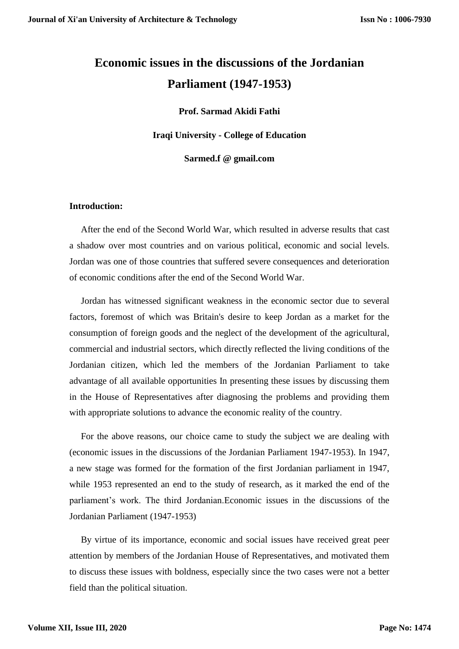## **Economic issues in the discussions of the Jordanian Parliament (1947-1953)**

**Prof. Sarmad Akidi Fathi**

**Iraqi University - College of Education**

**Sarmed.f @ gmail.com**

## **Introduction:**

After the end of the Second World War, which resulted in adverse results that cast a shadow over most countries and on various political, economic and social levels. Jordan was one of those countries that suffered severe consequences and deterioration of economic conditions after the end of the Second World War.

Jordan has witnessed significant weakness in the economic sector due to several factors, foremost of which was Britain's desire to keep Jordan as a market for the consumption of foreign goods and the neglect of the development of the agricultural, commercial and industrial sectors, which directly reflected the living conditions of the Jordanian citizen, which led the members of the Jordanian Parliament to take advantage of all available opportunities In presenting these issues by discussing them in the House of Representatives after diagnosing the problems and providing them with appropriate solutions to advance the economic reality of the country.

For the above reasons, our choice came to study the subject we are dealing with (economic issues in the discussions of the Jordanian Parliament 1947-1953). In 1947, a new stage was formed for the formation of the first Jordanian parliament in 1947, while 1953 represented an end to the study of research, as it marked the end of the parliament's work. The third Jordanian.Economic issues in the discussions of the Jordanian Parliament (1947-1953)

By virtue of its importance, economic and social issues have received great peer attention by members of the Jordanian House of Representatives, and motivated them to discuss these issues with boldness, especially since the two cases were not a better field than the political situation.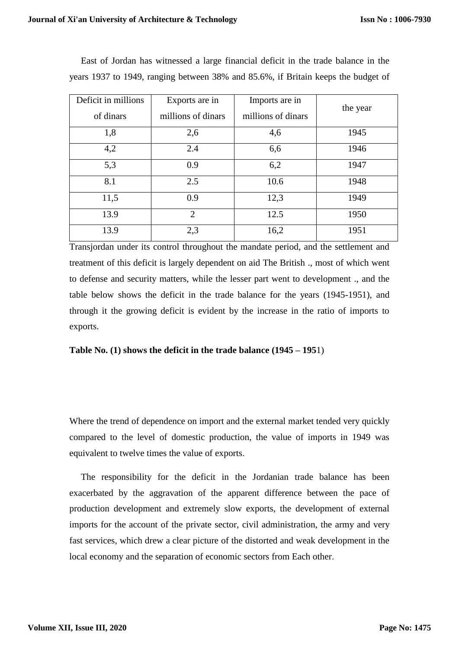| Deficit in millions | Exports are in     | Imports are in     |          |
|---------------------|--------------------|--------------------|----------|
| of dinars           | millions of dinars | millions of dinars | the year |
| 1,8                 | 2,6                | 4,6                | 1945     |
| 4,2                 | 2.4                | 6,6                | 1946     |
| 5,3                 | 0.9                | 6,2                | 1947     |
| 8.1                 | 2.5                | 10.6               | 1948     |
| 11,5                | 0.9                | 12,3               | 1949     |
| 13.9                | $\overline{2}$     | 12.5               | 1950     |
| 13.9                | 2,3                | 16,2               | 1951     |

East of Jordan has witnessed a large financial deficit in the trade balance in the years 1937 to 1949, ranging between 38% and 85.6%, if Britain keeps the budget of

Transjordan under its control throughout the mandate period, and the settlement and treatment of this deficit is largely dependent on aid The British ., most of which went to defense and security matters, while the lesser part went to development ., and the table below shows the deficit in the trade balance for the years (1945-1951), and through it the growing deficit is evident by the increase in the ratio of imports to exports.

**Table No. (1) shows the deficit in the trade balance (1945 – 195**1)

Where the trend of dependence on import and the external market tended very quickly compared to the level of domestic production, the value of imports in 1949 was equivalent to twelve times the value of exports.

The responsibility for the deficit in the Jordanian trade balance has been exacerbated by the aggravation of the apparent difference between the pace of production development and extremely slow exports, the development of external imports for the account of the private sector, civil administration, the army and very fast services, which drew a clear picture of the distorted and weak development in the local economy and the separation of economic sectors from Each other.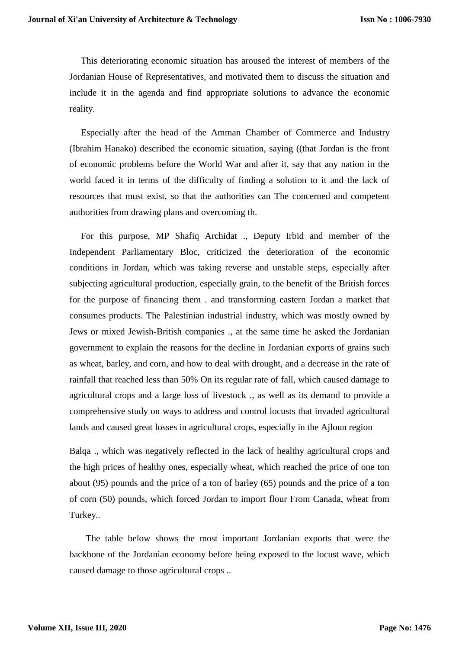This deteriorating economic situation has aroused the interest of members of the Jordanian House of Representatives, and motivated them to discuss the situation and include it in the agenda and find appropriate solutions to advance the economic reality.

Especially after the head of the Amman Chamber of Commerce and Industry (Ibrahim Hanako) described the economic situation, saying ((that Jordan is the front of economic problems before the World War and after it, say that any nation in the world faced it in terms of the difficulty of finding a solution to it and the lack of resources that must exist, so that the authorities can The concerned and competent authorities from drawing plans and overcoming th.

 For this purpose, MP Shafiq Archidat ., Deputy Irbid and member of the Independent Parliamentary Bloc, criticized the deterioration of the economic conditions in Jordan, which was taking reverse and unstable steps, especially after subjecting agricultural production, especially grain, to the benefit of the British forces for the purpose of financing them . and transforming eastern Jordan a market that consumes products. The Palestinian industrial industry, which was mostly owned by Jews or mixed Jewish-British companies ., at the same time he asked the Jordanian government to explain the reasons for the decline in Jordanian exports of grains such as wheat, barley, and corn, and how to deal with drought, and a decrease in the rate of rainfall that reached less than 50% On its regular rate of fall, which caused damage to agricultural crops and a large loss of livestock ., as well as its demand to provide a comprehensive study on ways to address and control locusts that invaded agricultural lands and caused great losses in agricultural crops, especially in the Ajloun region

Balqa ., which was negatively reflected in the lack of healthy agricultural crops and the high prices of healthy ones, especially wheat, which reached the price of one ton about (95) pounds and the price of a ton of barley (65) pounds and the price of a ton of corn (50) pounds, which forced Jordan to import flour From Canada, wheat from Turkey..

 The table below shows the most important Jordanian exports that were the backbone of the Jordanian economy before being exposed to the locust wave, which caused damage to those agricultural crops ..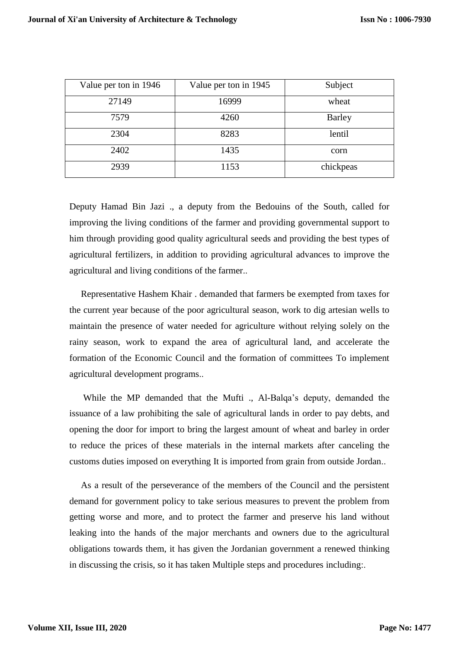| Value per ton in 1946 | Value per ton in 1945 | Subject       |
|-----------------------|-----------------------|---------------|
| 27149                 | 16999                 | wheat         |
| 7579                  | 4260                  | <b>Barley</b> |
| 2304                  | 8283                  | lentil        |
| 2402                  | 1435                  | corn          |
| 2939                  | 1153                  | chickpeas     |

Deputy Hamad Bin Jazi ., a deputy from the Bedouins of the South, called for improving the living conditions of the farmer and providing governmental support to him through providing good quality agricultural seeds and providing the best types of agricultural fertilizers, in addition to providing agricultural advances to improve the agricultural and living conditions of the farmer..

Representative Hashem Khair . demanded that farmers be exempted from taxes for the current year because of the poor agricultural season, work to dig artesian wells to maintain the presence of water needed for agriculture without relying solely on the rainy season, work to expand the area of agricultural land, and accelerate the formation of the Economic Council and the formation of committees To implement agricultural development programs..

While the MP demanded that the Mufti ., Al-Balqa's deputy, demanded the issuance of a law prohibiting the sale of agricultural lands in order to pay debts, and opening the door for import to bring the largest amount of wheat and barley in order to reduce the prices of these materials in the internal markets after canceling the customs duties imposed on everything It is imported from grain from outside Jordan..

As a result of the perseverance of the members of the Council and the persistent demand for government policy to take serious measures to prevent the problem from getting worse and more, and to protect the farmer and preserve his land without leaking into the hands of the major merchants and owners due to the agricultural obligations towards them, it has given the Jordanian government a renewed thinking in discussing the crisis, so it has taken Multiple steps and procedures including:.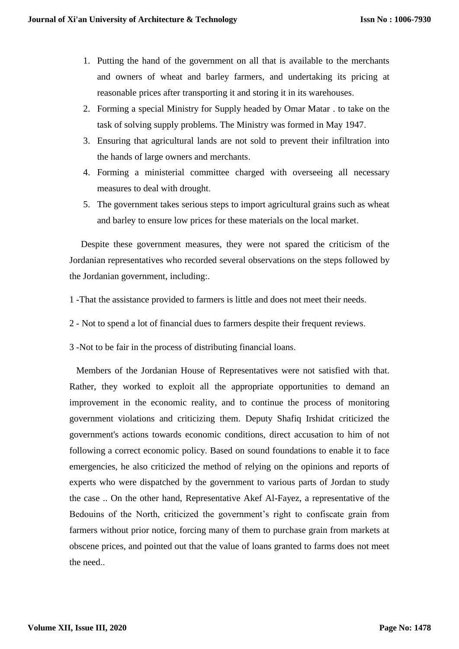- 1. Putting the hand of the government on all that is available to the merchants and owners of wheat and barley farmers, and undertaking its pricing at reasonable prices after transporting it and storing it in its warehouses.
- 2. Forming a special Ministry for Supply headed by Omar Matar . to take on the task of solving supply problems. The Ministry was formed in May 1947.
- 3. Ensuring that agricultural lands are not sold to prevent their infiltration into the hands of large owners and merchants.
- 4. Forming a ministerial committee charged with overseeing all necessary measures to deal with drought.
- 5. The government takes serious steps to import agricultural grains such as wheat and barley to ensure low prices for these materials on the local market.

Despite these government measures, they were not spared the criticism of the Jordanian representatives who recorded several observations on the steps followed by the Jordanian government, including:.

- 1 -That the assistance provided to farmers is little and does not meet their needs.
- 2 Not to spend a lot of financial dues to farmers despite their frequent reviews.
- 3 -Not to be fair in the process of distributing financial loans.

Members of the Jordanian House of Representatives were not satisfied with that. Rather, they worked to exploit all the appropriate opportunities to demand an improvement in the economic reality, and to continue the process of monitoring government violations and criticizing them. Deputy Shafiq Irshidat criticized the government's actions towards economic conditions, direct accusation to him of not following a correct economic policy. Based on sound foundations to enable it to face emergencies, he also criticized the method of relying on the opinions and reports of experts who were dispatched by the government to various parts of Jordan to study the case .. On the other hand, Representative Akef Al-Fayez, a representative of the Bedouins of the North, criticized the government's right to confiscate grain from farmers without prior notice, forcing many of them to purchase grain from markets at obscene prices, and pointed out that the value of loans granted to farms does not meet the need..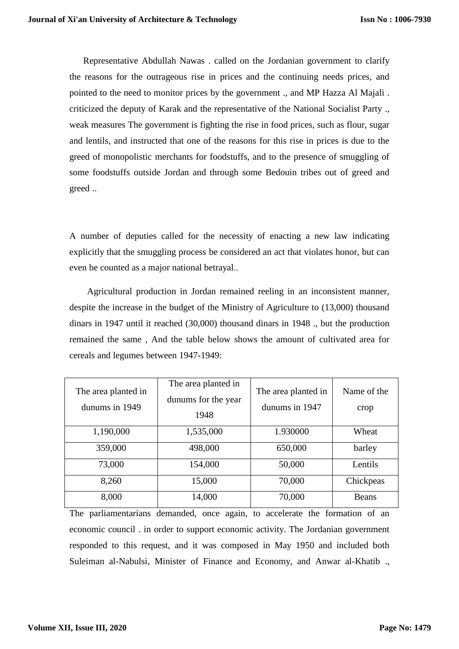Representative Abdullah Nawas . called on the Jordanian government to clarify the reasons for the outrageous rise in prices and the continuing needs prices, and pointed to the need to monitor prices by the government ., and MP Hazza Al Majali . criticized the deputy of Karak and the representative of the National Socialist Party ., weak measures The government is fighting the rise in food prices, such as flour, sugar and lentils, and instructed that one of the reasons for this rise in prices is due to the greed of monopolistic merchants for foodstuffs, and to the presence of smuggling of some foodstuffs outside Jordan and through some Bedouin tribes out of greed and greed ..

A number of deputies called for the necessity of enacting a new law indicating explicitly that the smuggling process be considered an act that violates honor, but can even be counted as a major national betrayal..

 Agricultural production in Jordan remained reeling in an inconsistent manner, despite the increase in the budget of the Ministry of Agriculture to (13,000) thousand dinars in 1947 until it reached (30,000) thousand dinars in 1948 ., but the production remained the same , And the table below shows the amount of cultivated area for cereals and legumes between 1947-1949:

| The area planted in<br>dunums in 1949 | The area planted in<br>dunums for the year<br>1948 | The area planted in<br>dunums in 1947 | Name of the<br>crop |
|---------------------------------------|----------------------------------------------------|---------------------------------------|---------------------|
| 1,190,000                             | 1,535,000                                          | 1.930000                              | Wheat               |
| 359,000                               | 498,000                                            | 650,000                               | barley              |
| 73,000                                | 154,000                                            | 50,000                                | Lentils             |
| 8,260                                 | 15,000                                             | 70,000                                | Chickpeas           |
| 8,000                                 | 14,000                                             | 70,000                                | <b>Beans</b>        |

The parliamentarians demanded, once again, to accelerate the formation of an economic council . in order to support economic activity. The Jordanian government responded to this request, and it was composed in May 1950 and included both Suleiman al-Nabulsi, Minister of Finance and Economy, and Anwar al-Khatib .,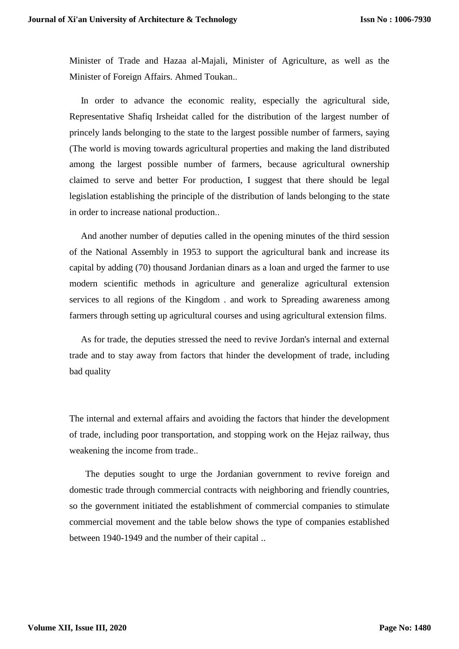Minister of Trade and Hazaa al-Majali, Minister of Agriculture, as well as the Minister of Foreign Affairs. Ahmed Toukan..

In order to advance the economic reality, especially the agricultural side, Representative Shafiq Irsheidat called for the distribution of the largest number of princely lands belonging to the state to the largest possible number of farmers, saying (The world is moving towards agricultural properties and making the land distributed among the largest possible number of farmers, because agricultural ownership claimed to serve and better For production, I suggest that there should be legal legislation establishing the principle of the distribution of lands belonging to the state in order to increase national production..

And another number of deputies called in the opening minutes of the third session of the National Assembly in 1953 to support the agricultural bank and increase its capital by adding (70) thousand Jordanian dinars as a loan and urged the farmer to use modern scientific methods in agriculture and generalize agricultural extension services to all regions of the Kingdom . and work to Spreading awareness among farmers through setting up agricultural courses and using agricultural extension films.

As for trade, the deputies stressed the need to revive Jordan's internal and external trade and to stay away from factors that hinder the development of trade, including bad quality

The internal and external affairs and avoiding the factors that hinder the development of trade, including poor transportation, and stopping work on the Hejaz railway, thus weakening the income from trade..

 The deputies sought to urge the Jordanian government to revive foreign and domestic trade through commercial contracts with neighboring and friendly countries, so the government initiated the establishment of commercial companies to stimulate commercial movement and the table below shows the type of companies established between 1940-1949 and the number of their capital ..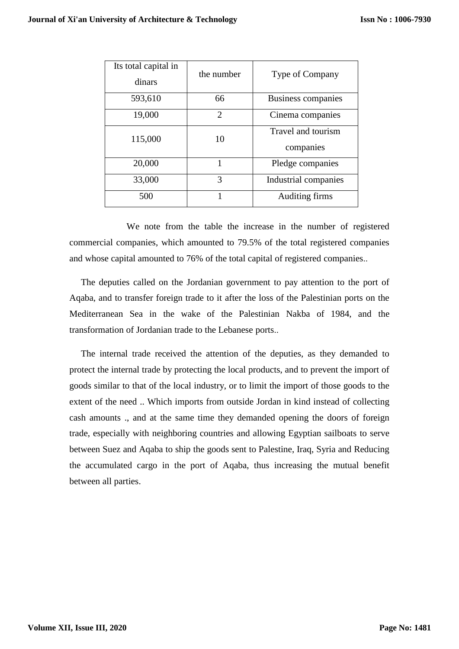| Its total capital in<br>dinars | the number     | Type of Company                 |
|--------------------------------|----------------|---------------------------------|
| 593,610                        | 66             | Business companies              |
| 19,000                         | $\overline{2}$ | Cinema companies                |
| 115,000                        | 10             | Travel and tourism<br>companies |
| 20,000                         | 1              | Pledge companies                |
| 33,000                         | 3              | Industrial companies            |
| 500                            |                | Auditing firms                  |

We note from the table the increase in the number of registered commercial companies, which amounted to 79.5% of the total registered companies and whose capital amounted to 76% of the total capital of registered companies..

The deputies called on the Jordanian government to pay attention to the port of Aqaba, and to transfer foreign trade to it after the loss of the Palestinian ports on the Mediterranean Sea in the wake of the Palestinian Nakba of 1984, and the transformation of Jordanian trade to the Lebanese ports..

The internal trade received the attention of the deputies, as they demanded to protect the internal trade by protecting the local products, and to prevent the import of goods similar to that of the local industry, or to limit the import of those goods to the extent of the need .. Which imports from outside Jordan in kind instead of collecting cash amounts ., and at the same time they demanded opening the doors of foreign trade, especially with neighboring countries and allowing Egyptian sailboats to serve between Suez and Aqaba to ship the goods sent to Palestine, Iraq, Syria and Reducing the accumulated cargo in the port of Aqaba, thus increasing the mutual benefit between all parties.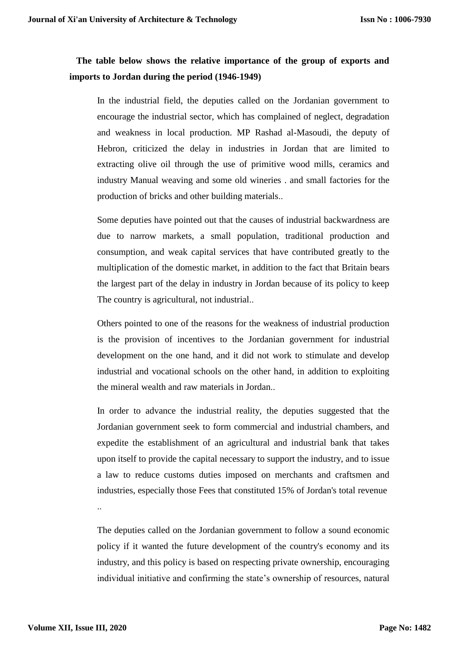## **The table below shows the relative importance of the group of exports and imports to Jordan during the period (1946-1949)**

In the industrial field, the deputies called on the Jordanian government to encourage the industrial sector, which has complained of neglect, degradation and weakness in local production. MP Rashad al-Masoudi, the deputy of Hebron, criticized the delay in industries in Jordan that are limited to extracting olive oil through the use of primitive wood mills, ceramics and industry Manual weaving and some old wineries . and small factories for the production of bricks and other building materials..

Some deputies have pointed out that the causes of industrial backwardness are due to narrow markets, a small population, traditional production and consumption, and weak capital services that have contributed greatly to the multiplication of the domestic market, in addition to the fact that Britain bears the largest part of the delay in industry in Jordan because of its policy to keep The country is agricultural, not industrial..

Others pointed to one of the reasons for the weakness of industrial production is the provision of incentives to the Jordanian government for industrial development on the one hand, and it did not work to stimulate and develop industrial and vocational schools on the other hand, in addition to exploiting the mineral wealth and raw materials in Jordan..

In order to advance the industrial reality, the deputies suggested that the Jordanian government seek to form commercial and industrial chambers, and expedite the establishment of an agricultural and industrial bank that takes upon itself to provide the capital necessary to support the industry, and to issue a law to reduce customs duties imposed on merchants and craftsmen and industries, especially those Fees that constituted 15% of Jordan's total revenue

The deputies called on the Jordanian government to follow a sound economic policy if it wanted the future development of the country's economy and its industry, and this policy is based on respecting private ownership, encouraging individual initiative and confirming the state's ownership of resources, natural

..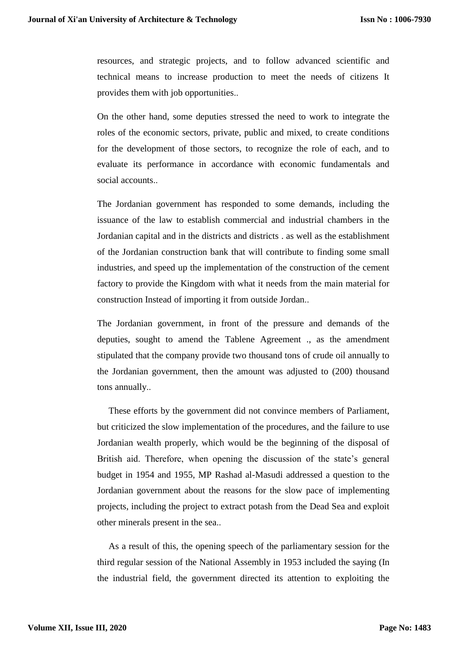resources, and strategic projects, and to follow advanced scientific and technical means to increase production to meet the needs of citizens It provides them with job opportunities..

On the other hand, some deputies stressed the need to work to integrate the roles of the economic sectors, private, public and mixed, to create conditions for the development of those sectors, to recognize the role of each, and to evaluate its performance in accordance with economic fundamentals and social accounts..

The Jordanian government has responded to some demands, including the issuance of the law to establish commercial and industrial chambers in the Jordanian capital and in the districts and districts . as well as the establishment of the Jordanian construction bank that will contribute to finding some small industries, and speed up the implementation of the construction of the cement factory to provide the Kingdom with what it needs from the main material for construction Instead of importing it from outside Jordan..

The Jordanian government, in front of the pressure and demands of the deputies, sought to amend the Tablene Agreement ., as the amendment stipulated that the company provide two thousand tons of crude oil annually to the Jordanian government, then the amount was adjusted to (200) thousand tons annually..

These efforts by the government did not convince members of Parliament, but criticized the slow implementation of the procedures, and the failure to use Jordanian wealth properly, which would be the beginning of the disposal of British aid. Therefore, when opening the discussion of the state's general budget in 1954 and 1955, MP Rashad al-Masudi addressed a question to the Jordanian government about the reasons for the slow pace of implementing projects, including the project to extract potash from the Dead Sea and exploit other minerals present in the sea..

As a result of this, the opening speech of the parliamentary session for the third regular session of the National Assembly in 1953 included the saying (In the industrial field, the government directed its attention to exploiting the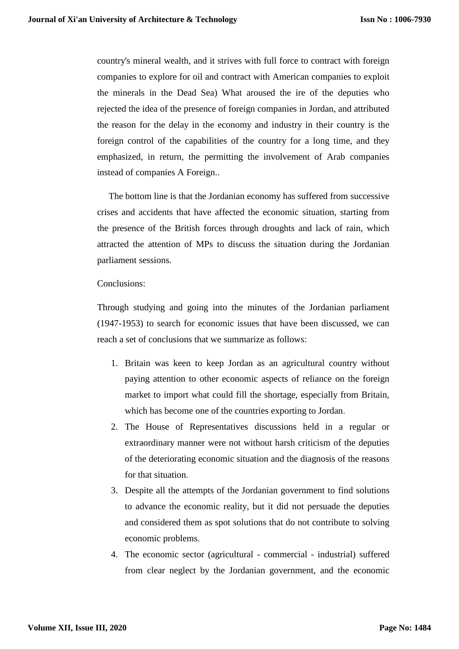country's mineral wealth, and it strives with full force to contract with foreign companies to explore for oil and contract with American companies to exploit the minerals in the Dead Sea) What aroused the ire of the deputies who rejected the idea of the presence of foreign companies in Jordan, and attributed the reason for the delay in the economy and industry in their country is the foreign control of the capabilities of the country for a long time, and they emphasized, in return, the permitting the involvement of Arab companies instead of companies A Foreign..

 The bottom line is that the Jordanian economy has suffered from successive crises and accidents that have affected the economic situation, starting from the presence of the British forces through droughts and lack of rain, which attracted the attention of MPs to discuss the situation during the Jordanian parliament sessions.

Conclusions:

Through studying and going into the minutes of the Jordanian parliament (1947-1953) to search for economic issues that have been discussed, we can reach a set of conclusions that we summarize as follows:

- 1. Britain was keen to keep Jordan as an agricultural country without paying attention to other economic aspects of reliance on the foreign market to import what could fill the shortage, especially from Britain, which has become one of the countries exporting to Jordan.
- 2. The House of Representatives discussions held in a regular or extraordinary manner were not without harsh criticism of the deputies of the deteriorating economic situation and the diagnosis of the reasons for that situation.
- 3. Despite all the attempts of the Jordanian government to find solutions to advance the economic reality, but it did not persuade the deputies and considered them as spot solutions that do not contribute to solving economic problems.
- 4. The economic sector (agricultural commercial industrial) suffered from clear neglect by the Jordanian government, and the economic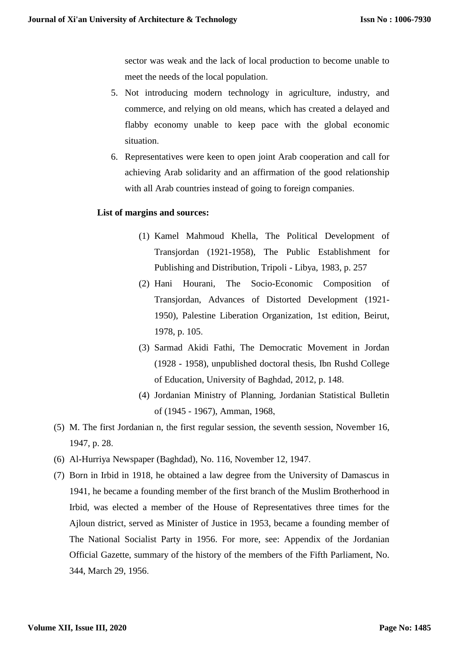sector was weak and the lack of local production to become unable to meet the needs of the local population.

- 5. Not introducing modern technology in agriculture, industry, and commerce, and relying on old means, which has created a delayed and flabby economy unable to keep pace with the global economic situation.
- 6. Representatives were keen to open joint Arab cooperation and call for achieving Arab solidarity and an affirmation of the good relationship with all Arab countries instead of going to foreign companies.

## **List of margins and sources:**

- (1) Kamel Mahmoud Khella, The Political Development of Transjordan (1921-1958), The Public Establishment for Publishing and Distribution, Tripoli - Libya, 1983, p. 257
- (2) Hani Hourani, The Socio-Economic Composition of Transjordan, Advances of Distorted Development (1921- 1950), Palestine Liberation Organization, 1st edition, Beirut, 1978, p. 105.
- (3) Sarmad Akidi Fathi, The Democratic Movement in Jordan (1928 - 1958), unpublished doctoral thesis, Ibn Rushd College of Education, University of Baghdad, 2012, p. 148.
- (4) Jordanian Ministry of Planning, Jordanian Statistical Bulletin of (1945 - 1967), Amman, 1968,
- (5) M. The first Jordanian n, the first regular session, the seventh session, November 16, 1947, p. 28.
- (6) Al-Hurriya Newspaper (Baghdad), No. 116, November 12, 1947.
- (7) Born in Irbid in 1918, he obtained a law degree from the University of Damascus in 1941, he became a founding member of the first branch of the Muslim Brotherhood in Irbid, was elected a member of the House of Representatives three times for the Ajloun district, served as Minister of Justice in 1953, became a founding member of The National Socialist Party in 1956. For more, see: Appendix of the Jordanian Official Gazette, summary of the history of the members of the Fifth Parliament, No. 344, March 29, 1956.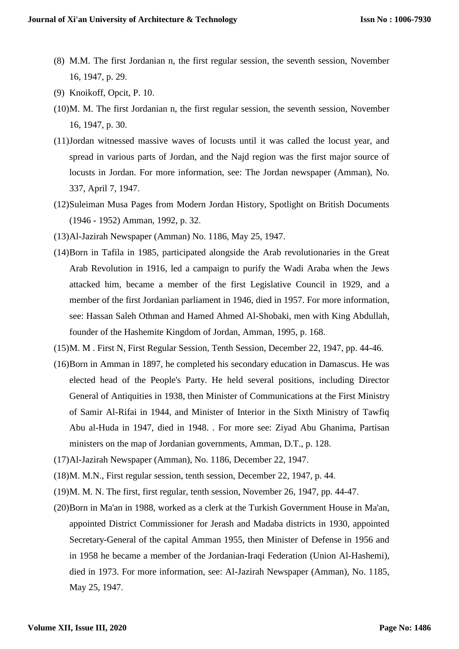- (8) M.M. The first Jordanian n, the first regular session, the seventh session, November 16, 1947, p. 29.
- (9) Knoikoff, Opcit, P. 10.
- (10)M. M. The first Jordanian n, the first regular session, the seventh session, November 16, 1947, p. 30.
- (11)Jordan witnessed massive waves of locusts until it was called the locust year, and spread in various parts of Jordan, and the Najd region was the first major source of locusts in Jordan. For more information, see: The Jordan newspaper (Amman), No. 337, April 7, 1947.
- (12)Suleiman Musa Pages from Modern Jordan History, Spotlight on British Documents (1946 - 1952) Amman, 1992, p. 32.
- (13)Al-Jazirah Newspaper (Amman) No. 1186, May 25, 1947.
- (14)Born in Tafila in 1985, participated alongside the Arab revolutionaries in the Great Arab Revolution in 1916, led a campaign to purify the Wadi Araba when the Jews attacked him, became a member of the first Legislative Council in 1929, and a member of the first Jordanian parliament in 1946, died in 1957. For more information, see: Hassan Saleh Othman and Hamed Ahmed Al-Shobaki, men with King Abdullah, founder of the Hashemite Kingdom of Jordan, Amman, 1995, p. 168.
- (15)M. M . First N, First Regular Session, Tenth Session, December 22, 1947, pp. 44-46.
- (16)Born in Amman in 1897, he completed his secondary education in Damascus. He was elected head of the People's Party. He held several positions, including Director General of Antiquities in 1938, then Minister of Communications at the First Ministry of Samir Al-Rifai in 1944, and Minister of Interior in the Sixth Ministry of Tawfiq Abu al-Huda in 1947, died in 1948. . For more see: Ziyad Abu Ghanima, Partisan ministers on the map of Jordanian governments, Amman, D.T., p. 128.
- (17)Al-Jazirah Newspaper (Amman), No. 1186, December 22, 1947.
- (18)M. M.N., First regular session, tenth session, December 22, 1947, p. 44.
- (19)M. M. N. The first, first regular, tenth session, November 26, 1947, pp. 44-47.
- (20)Born in Ma'an in 1988, worked as a clerk at the Turkish Government House in Ma'an, appointed District Commissioner for Jerash and Madaba districts in 1930, appointed Secretary-General of the capital Amman 1955, then Minister of Defense in 1956 and in 1958 he became a member of the Jordanian-Iraqi Federation (Union Al-Hashemi), died in 1973. For more information, see: Al-Jazirah Newspaper (Amman), No. 1185, May 25, 1947.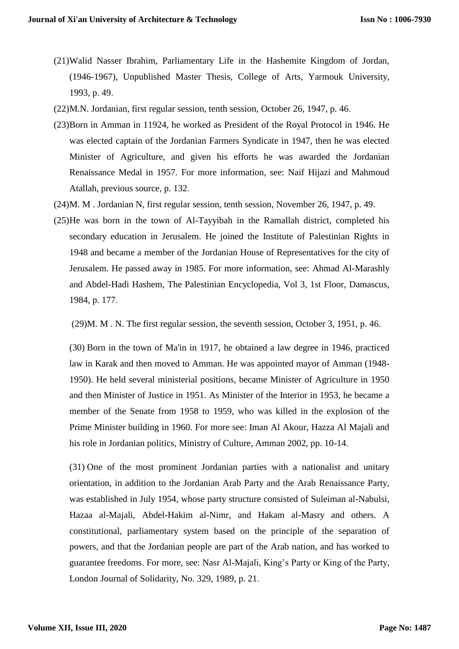- (21)Walid Nasser Ibrahim, Parliamentary Life in the Hashemite Kingdom of Jordan, (1946-1967), Unpublished Master Thesis, College of Arts, Yarmouk University, 1993, p. 49.
- (22)M.N. Jordanian, first regular session, tenth session, October 26, 1947, p. 46.
- (23)Born in Amman in 11924, he worked as President of the Royal Protocol in 1946. He was elected captain of the Jordanian Farmers Syndicate in 1947, then he was elected Minister of Agriculture, and given his efforts he was awarded the Jordanian Renaissance Medal in 1957. For more information, see: Naif Hijazi and Mahmoud Atallah, previous source, p. 132.
- (24)M. M . Jordanian N, first regular session, tenth session, November 26, 1947, p. 49.
- (25)He was born in the town of Al-Tayyibah in the Ramallah district, completed his secondary education in Jerusalem. He joined the Institute of Palestinian Rights in 1948 and became a member of the Jordanian House of Representatives for the city of Jerusalem. He passed away in 1985. For more information, see: Ahmad Al-Marashly and Abdel-Hadi Hashem, The Palestinian Encyclopedia, Vol 3, 1st Floor, Damascus, 1984, p. 177.

(29)M. M . N. The first regular session, the seventh session, October 3, 1951, p. 46.

(30) Born in the town of Ma'in in 1917, he obtained a law degree in 1946, practiced law in Karak and then moved to Amman. He was appointed mayor of Amman (1948- 1950). He held several ministerial positions, became Minister of Agriculture in 1950 and then Minister of Justice in 1951. As Minister of the Interior in 1953, he became a member of the Senate from 1958 to 1959, who was killed in the explosion of the Prime Minister building in 1960. For more see: Iman Al Akour, Hazza Al Majali and his role in Jordanian politics, Ministry of Culture, Amman 2002, pp. 10-14.

(31) One of the most prominent Jordanian parties with a nationalist and unitary orientation, in addition to the Jordanian Arab Party and the Arab Renaissance Party, was established in July 1954, whose party structure consisted of Suleiman al-Nabulsi, Hazaa al-Majali, Abdel-Hakim al-Nimr, and Hakam al-Masry and others. A constitutional, parliamentary system based on the principle of the separation of powers, and that the Jordanian people are part of the Arab nation, and has worked to guarantee freedoms. For more, see: Nasr Al-Majali, King's Party or King of the Party, London Journal of Solidarity, No. 329, 1989, p. 21.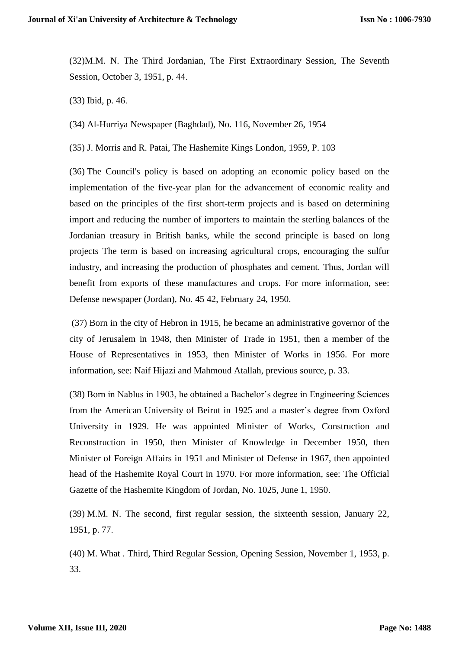(32)M.M. N. The Third Jordanian, The First Extraordinary Session, The Seventh Session, October 3, 1951, p. 44.

(33) Ibid, p. 46.

(34) Al-Hurriya Newspaper (Baghdad), No. 116, November 26, 1954

(35) J. Morris and R. Patai, The Hashemite Kings London, 1959, P. 103

(36) The Council's policy is based on adopting an economic policy based on the implementation of the five-year plan for the advancement of economic reality and based on the principles of the first short-term projects and is based on determining import and reducing the number of importers to maintain the sterling balances of the Jordanian treasury in British banks, while the second principle is based on long projects The term is based on increasing agricultural crops, encouraging the sulfur industry, and increasing the production of phosphates and cement. Thus, Jordan will benefit from exports of these manufactures and crops. For more information, see: Defense newspaper (Jordan), No. 45 42, February 24, 1950.

(37) Born in the city of Hebron in 1915, he became an administrative governor of the city of Jerusalem in 1948, then Minister of Trade in 1951, then a member of the House of Representatives in 1953, then Minister of Works in 1956. For more information, see: Naif Hijazi and Mahmoud Atallah, previous source, p. 33.

(38) Born in Nablus in 1903, he obtained a Bachelor's degree in Engineering Sciences from the American University of Beirut in 1925 and a master's degree from Oxford University in 1929. He was appointed Minister of Works, Construction and Reconstruction in 1950, then Minister of Knowledge in December 1950, then Minister of Foreign Affairs in 1951 and Minister of Defense in 1967, then appointed head of the Hashemite Royal Court in 1970. For more information, see: The Official Gazette of the Hashemite Kingdom of Jordan, No. 1025, June 1, 1950.

(39) M.M. N. The second, first regular session, the sixteenth session, January 22, 1951, p. 77.

(40) M. What . Third, Third Regular Session, Opening Session, November 1, 1953, p. 33.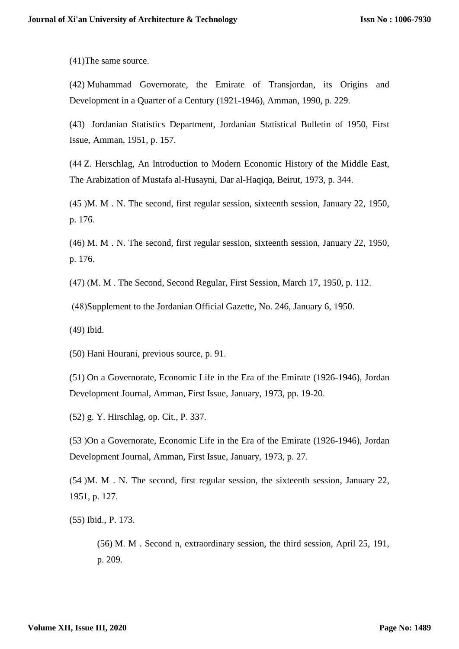(41)The same source.

(42) Muhammad Governorate, the Emirate of Transjordan, its Origins and Development in a Quarter of a Century (1921-1946), Amman, 1990, p. 229.

(43) Jordanian Statistics Department, Jordanian Statistical Bulletin of 1950, First Issue, Amman, 1951, p. 157.

(44 Z. Herschlag, An Introduction to Modern Economic History of the Middle East, The Arabization of Mustafa al-Husayni, Dar al-Haqiqa, Beirut, 1973, p. 344.

)45 (M. M . N. The second, first regular session, sixteenth session, January 22, 1950, p. 176.

(46) M. M . N. The second, first regular session, sixteenth session, January 22, 1950, p. 176.

 $(47)$  (M. M. The Second, Second Regular, First Session, March 17, 1950, p. 112.

)48(Supplement to the Jordanian Official Gazette, No. 246, January 6, 1950.

(49) Ibid.

(50) Hani Hourani, previous source, p. 91.

(51) On a Governorate, Economic Life in the Era of the Emirate (1926-1946), Jordan Development Journal, Amman, First Issue, January, 1973, pp. 19-20.

(52) g. Y. Hirschlag, op. Cit., P. 337.

(53 (On a Governorate, Economic Life in the Era of the Emirate (1926-1946), Jordan Development Journal, Amman, First Issue, January, 1973, p. 27.

 $(54)$ M. M. N. The second, first regular session, the sixteenth session, January 22, 1951, p. 127.

(55) Ibid., P. 173.

(56) M. M . Second n, extraordinary session, the third session, April 25, 191, p. 209.